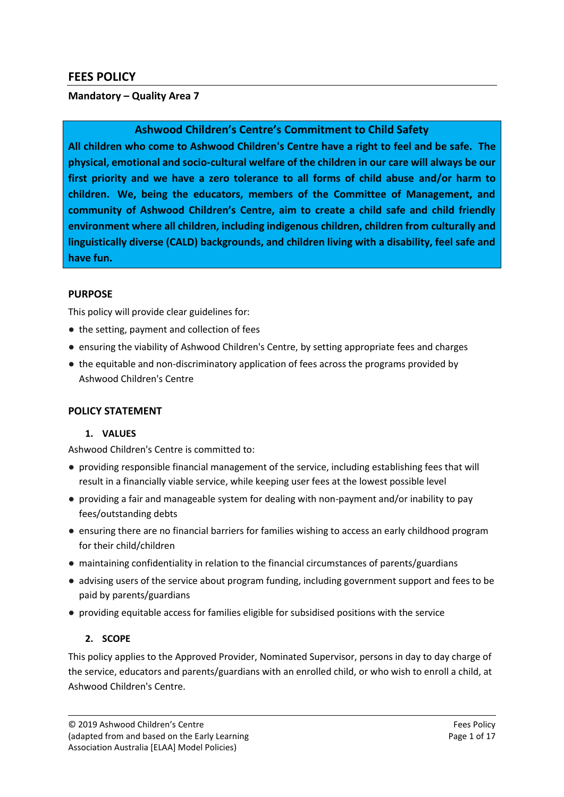# **FEES POLICY**

### **Mandatory – Quality Area 7**

# **Ashwood Children's Centre's Commitment to Child Safety**

**All children who come to Ashwood Children's Centre have a right to feel and be safe. The physical, emotional and socio-cultural welfare of the children in our care will always be our first priority and we have a zero tolerance to all forms of child abuse and/or harm to children. We, being the educators, members of the Committee of Management, and community of Ashwood Children's Centre, aim to create a child safe and child friendly environment where all children, including indigenous children, children from culturally and linguistically diverse (CALD) backgrounds, and children living with a disability, feel safe and have fun.**

### **PURPOSE**

This policy will provide clear guidelines for:

- the setting, payment and collection of fees
- ensuring the viability of Ashwood Children's Centre, by setting appropriate fees and charges
- the equitable and non-discriminatory application of fees across the programs provided by Ashwood Children's Centre

### **POLICY STATEMENT**

### **1. VALUES**

Ashwood Children's Centre is committed to:

- providing responsible financial management of the service, including establishing fees that will result in a financially viable service, while keeping user fees at the lowest possible level
- providing a fair and manageable system for dealing with non-payment and/or inability to pay fees/outstanding debts
- ensuring there are no financial barriers for families wishing to access an early childhood program for their child/children
- maintaining confidentiality in relation to the financial circumstances of parents/guardians
- advising users of the service about program funding, including government support and fees to be paid by parents/guardians
- providing equitable access for families eligible for subsidised positions with the service

### **2. SCOPE**

This policy applies to the Approved Provider, Nominated Supervisor, persons in day to day charge of the service, educators and parents/guardians with an enrolled child, or who wish to enroll a child, at Ashwood Children's Centre.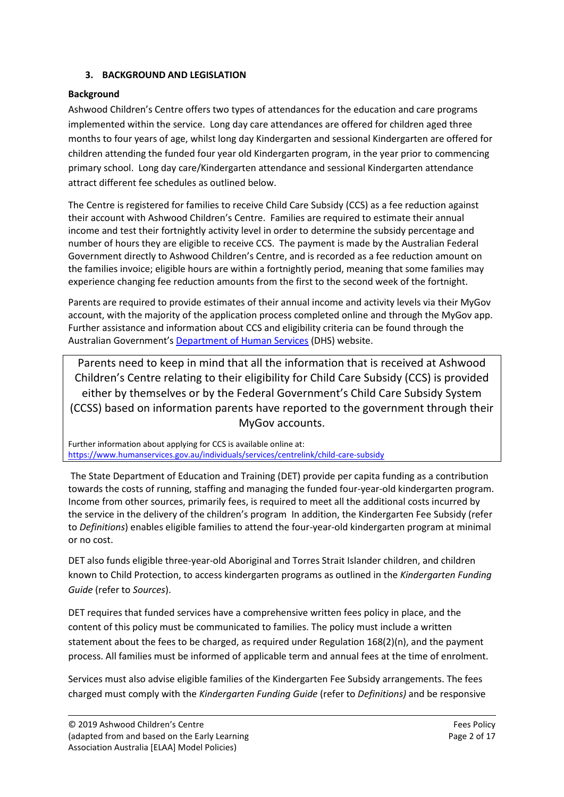### **3. BACKGROUND AND LEGISLATION**

### **Background**

Ashwood Children's Centre offers two types of attendances for the education and care programs implemented within the service. Long day care attendances are offered for children aged three months to four years of age, whilst long day Kindergarten and sessional Kindergarten are offered for children attending the funded four year old Kindergarten program, in the year prior to commencing primary school. Long day care/Kindergarten attendance and sessional Kindergarten attendance attract different fee schedules as outlined below.

The Centre is registered for families to receive Child Care Subsidy (CCS) as a fee reduction against their account with Ashwood Children's Centre. Families are required to estimate their annual income and test their fortnightly activity level in order to determine the subsidy percentage and number of hours they are eligible to receive CCS. The payment is made by the Australian Federal Government directly to Ashwood Children's Centre, and is recorded as a fee reduction amount on the families invoice; eligible hours are within a fortnightly period, meaning that some families may experience changing fee reduction amounts from the first to the second week of the fortnight.

Parents are required to provide estimates of their annual income and activity levels via their MyGov account, with the majority of the application process completed online and through the MyGov app. Further assistance and information about CCS and eligibility criteria can be found through the Australian Government's **[Department of Human Services](https://www.humanservices.gov.au/individuals/services/centrelink/child-care-subsidy)** (DHS) website.

Parents need to keep in mind that all the information that is received at Ashwood Children's Centre relating to their eligibility for Child Care Subsidy (CCS) is provided either by themselves or by the Federal Government's Child Care Subsidy System (CCSS) based on information parents have reported to the government through their MyGov accounts.

Further information about applying for CCS is available online at: <https://www.humanservices.gov.au/individuals/services/centrelink/child-care-subsidy>

The State Department of Education and Training (DET) provide per capita funding as a contribution towards the costs of running, staffing and managing the funded four-year-old kindergarten program. Income from other sources, primarily fees, is required to meet all the additional costs incurred by the service in the delivery of the children's program In addition, the Kindergarten Fee Subsidy (refer to *Definitions*) enables eligible families to attend the four-year-old kindergarten program at minimal or no cost.

DET also funds eligible three-year-old Aboriginal and Torres Strait Islander children, and children known to Child Protection, to access kindergarten programs as outlined in the *Kindergarten Funding Guide* (refer to *Sources*).

DET requires that funded services have a comprehensive written fees policy in place, and the content of this policy must be communicated to families. The policy must include a written statement about the fees to be charged, as required under Regulation 168(2)(n), and the payment process. All families must be informed of applicable term and annual fees at the time of enrolment.

Services must also advise eligible families of the Kindergarten Fee Subsidy arrangements. The fees charged must comply with the *Kindergarten Funding Guide* (refer to *Definitions)* and be responsive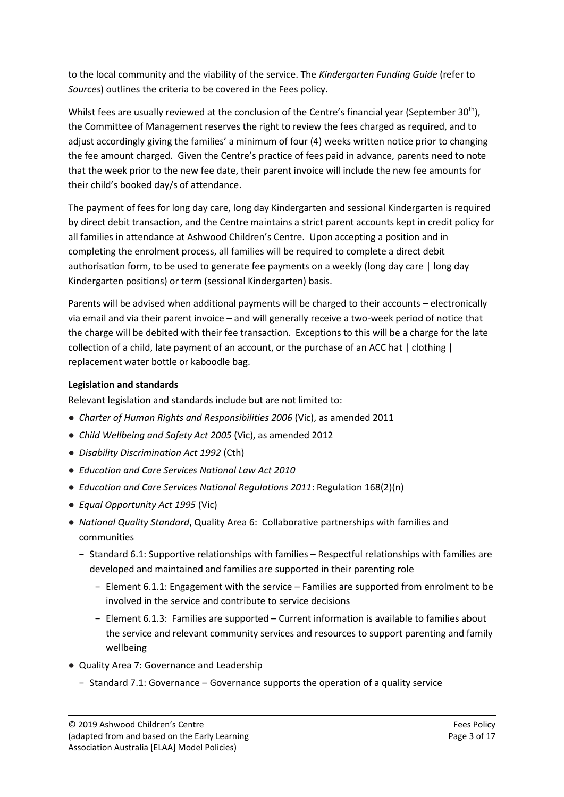to the local community and the viability of the service. The *Kindergarten Funding Guide* (refer to *Sources*) outlines the criteria to be covered in the Fees policy.

Whilst fees are usually reviewed at the conclusion of the Centre's financial year (September 30<sup>th</sup>). the Committee of Management reserves the right to review the fees charged as required, and to adjust accordingly giving the families' a minimum of four (4) weeks written notice prior to changing the fee amount charged. Given the Centre's practice of fees paid in advance, parents need to note that the week prior to the new fee date, their parent invoice will include the new fee amounts for their child's booked day/s of attendance.

The payment of fees for long day care, long day Kindergarten and sessional Kindergarten is required by direct debit transaction, and the Centre maintains a strict parent accounts kept in credit policy for all families in attendance at Ashwood Children's Centre. Upon accepting a position and in completing the enrolment process, all families will be required to complete a direct debit authorisation form, to be used to generate fee payments on a weekly (long day care | long day Kindergarten positions) or term (sessional Kindergarten) basis.

Parents will be advised when additional payments will be charged to their accounts – electronically via email and via their parent invoice – and will generally receive a two-week period of notice that the charge will be debited with their fee transaction. Exceptions to this will be a charge for the late collection of a child, late payment of an account, or the purchase of an ACC hat | clothing | replacement water bottle or kaboodle bag.

# **Legislation and standards**

Relevant legislation and standards include but are not limited to:

- *Charter of Human Rights and Responsibilities 2006* (Vic), as amended 2011
- *Child Wellbeing and Safety Act 2005* (Vic), as amended 2012
- *Disability Discrimination Act 1992* (Cth)
- *Education and Care Services National Law Act 2010*
- *Education and Care Services National Regulations 2011*: Regulation 168(2)(n)
- *Equal Opportunity Act 1995* (Vic)
- *National Quality Standard*, Quality Area 6: Collaborative partnerships with families and communities
	- − Standard 6.1: Supportive relationships with families Respectful relationships with families are developed and maintained and families are supported in their parenting role
		- − Element 6.1.1: Engagement with the service Families are supported from enrolment to be involved in the service and contribute to service decisions
		- − Element 6.1.3: Families are supported Current information is available to families about the service and relevant community services and resources to support parenting and family wellbeing
- Quality Area 7: Governance and Leadership
	- − Standard 7.1: Governance Governance supports the operation of a quality service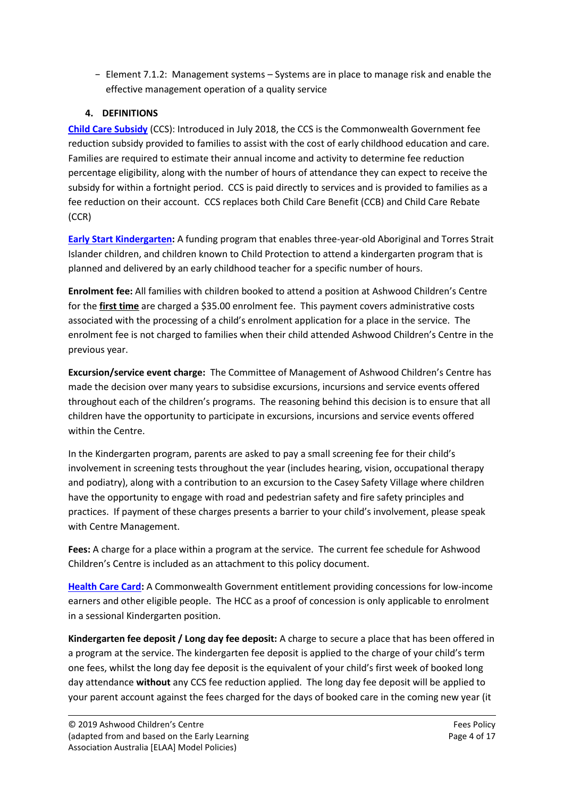− Element 7.1.2: Management systems – Systems are in place to manage risk and enable the effective management operation of a quality service

# **4. DEFINITIONS**

**[Child Care Subsidy](https://www.humanservices.gov.au/individuals/services/centrelink/child-care-subsidy)** (CCS): Introduced in July 2018, the CCS is the Commonwealth Government fee reduction subsidy provided to families to assist with the cost of early childhood education and care. Families are required to estimate their annual income and activity to determine fee reduction percentage eligibility, along with the number of hours of attendance they can expect to receive the subsidy for within a fortnight period. CCS is paid directly to services and is provided to families as a fee reduction on their account. CCS replaces both Child Care Benefit (CCB) and Child Care Rebate (CCR)

**[Early Start Kindergarten:](http://www.education.vic.gov.au/childhood/parents/kindergarten/Pages/earlystart.aspx)** A funding program that enables three-year-old Aboriginal and Torres Strait Islander children, and children known to Child Protection to attend a kindergarten program that is planned and delivered by an early childhood teacher for a specific number of hours.

**Enrolment fee:** All families with children booked to attend a position at Ashwood Children's Centre for the **first time** are charged a \$35.00 enrolment fee. This payment covers administrative costs associated with the processing of a child's enrolment application for a place in the service. The enrolment fee is not charged to families when their child attended Ashwood Children's Centre in the previous year.

**Excursion/service event charge:** The Committee of Management of Ashwood Children's Centre has made the decision over many years to subsidise excursions, incursions and service events offered throughout each of the children's programs. The reasoning behind this decision is to ensure that all children have the opportunity to participate in excursions, incursions and service events offered within the Centre.

In the Kindergarten program, parents are asked to pay a small screening fee for their child's involvement in screening tests throughout the year (includes hearing, vision, occupational therapy and podiatry), along with a contribution to an excursion to the Casey Safety Village where children have the opportunity to engage with road and pedestrian safety and fire safety principles and practices. If payment of these charges presents a barrier to your child's involvement, please speak with Centre Management.

**Fees:** A charge for a place within a program at the service.The current fee schedule for Ashwood Children's Centre is included as an attachment to this policy document.

**[Health Care Card:](https://www.humanservices.gov.au/individuals/services/centrelink/health-care-card)** A Commonwealth Government entitlement providing concessions for low-income earners and other eligible people. The HCC as a proof of concession is only applicable to enrolment in a sessional Kindergarten position.

**Kindergarten fee deposit / Long day fee deposit:** A charge to secure a place that has been offered in a program at the service. The kindergarten fee deposit is applied to the charge of your child's term one fees, whilst the long day fee deposit is the equivalent of your child's first week of booked long day attendance **without** any CCS fee reduction applied. The long day fee deposit will be applied to your parent account against the fees charged for the days of booked care in the coming new year (it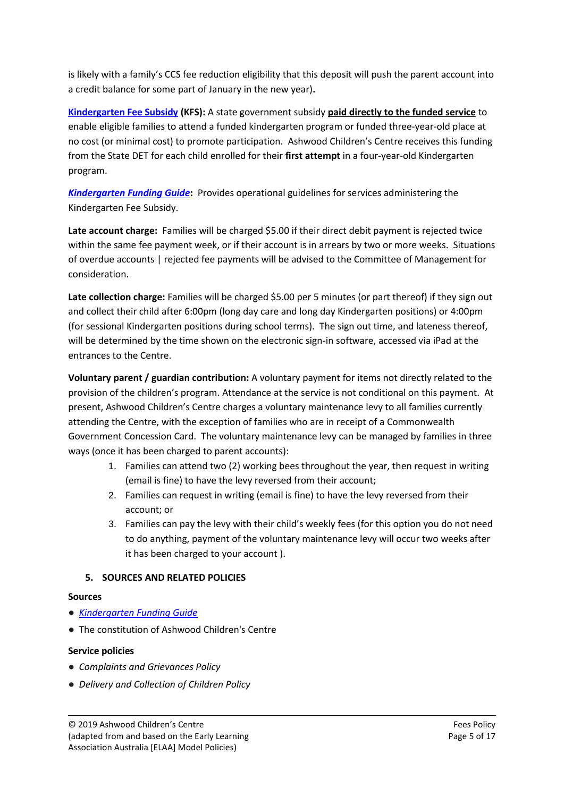is likely with a family's CCS fee reduction eligibility that this deposit will push the parent account into a credit balance for some part of January in the new year)**.**

**[Kindergarten Fee Subsidy](http://www.education.vic.gov.au/childhood/parents/kindergarten/Pages/fees.aspx) (KFS):** A state government subsidy **paid directly to the funded service** to enable eligible families to attend a funded kindergarten program or funded three-year-old place at no cost (or minimal cost) to promote participation. Ashwood Children's Centre receives this funding from the State DET for each child enrolled for their **first attempt** in a four-year-old Kindergarten program.

*[Kindergarten Funding Guide](http://www.education.vic.gov.au/childhood/providers/funding/Pages/kinderfundingcriteria.aspx)***:** Provides operational guidelines for services administering the Kindergarten Fee Subsidy.

**Late account charge:** Families will be charged \$5.00 if their direct debit payment is rejected twice within the same fee payment week, or if their account is in arrears by two or more weeks. Situations of overdue accounts | rejected fee payments will be advised to the Committee of Management for consideration.

**Late collection charge:** Families will be charged \$5.00 per 5 minutes (or part thereof) if they sign out and collect their child after 6:00pm (long day care and long day Kindergarten positions) or 4:00pm (for sessional Kindergarten positions during school terms). The sign out time, and lateness thereof, will be determined by the time shown on the electronic sign-in software, accessed via iPad at the entrances to the Centre.

**Voluntary parent / guardian contribution:** A voluntary payment for items not directly related to the provision of the children's program. Attendance at the service is not conditional on this payment. At present, Ashwood Children's Centre charges a voluntary maintenance levy to all families currently attending the Centre, with the exception of families who are in receipt of a Commonwealth Government Concession Card. The voluntary maintenance levy can be managed by families in three ways (once it has been charged to parent accounts):

- 1. Families can attend two (2) working bees throughout the year, then request in writing (email is fine) to have the levy reversed from their account;
- 2. Families can request in writing (email is fine) to have the levy reversed from their account; or
- 3. Families can pay the levy with their child's weekly fees (for this option you do not need to do anything, payment of the voluntary maintenance levy will occur two weeks after it has been charged to your account ).

# **5. SOURCES AND RELATED POLICIES**

# **Sources**

- *[Kindergarten Funding Guide](http://www.education.vic.gov.au/childhood/providers/funding/Pages/kinderfundingcriteria.aspx)*
- The constitution of Ashwood Children's Centre

# **Service policies**

- *Complaints and Grievances Policy*
- *Delivery and Collection of Children Policy*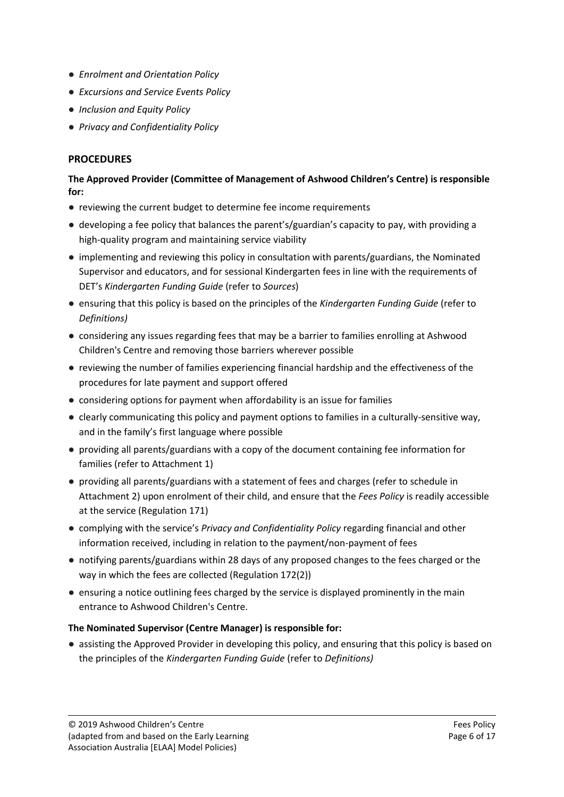- *Enrolment and Orientation Policy*
- *Excursions and Service Events Policy*
- *Inclusion and Equity Policy*
- *Privacy and Confidentiality Policy*

# **PROCEDURES**

### **The Approved Provider (Committee of Management of Ashwood Children's Centre) is responsible for:**

- reviewing the current budget to determine fee income requirements
- developing a fee policy that balances the parent's/guardian's capacity to pay, with providing a high-quality program and maintaining service viability
- implementing and reviewing this policy in consultation with parents/guardians, the Nominated Supervisor and educators, and for sessional Kindergarten fees in line with the requirements of DET's *Kindergarten Funding Guide* (refer to *Sources*)
- ensuring that this policy is based on the principles of the *Kindergarten Funding Guide* (refer to *Definitions)*
- considering any issues regarding fees that may be a barrier to families enrolling at Ashwood Children's Centre and removing those barriers wherever possible
- reviewing the number of families experiencing financial hardship and the effectiveness of the procedures for late payment and support offered
- considering options for payment when affordability is an issue for families
- clearly communicating this policy and payment options to families in a culturally-sensitive way, and in the family's first language where possible
- providing all parents/guardians with a copy of the document containing fee information for families (refer to Attachment 1)
- providing all parents/guardians with a statement of fees and charges (refer to schedule in Attachment 2) upon enrolment of their child, and ensure that the *Fees Policy* is readily accessible at the service (Regulation 171)
- complying with the service's *Privacy and Confidentiality Policy* regarding financial and other information received, including in relation to the payment/non-payment of fees
- notifying parents/guardians within 28 days of any proposed changes to the fees charged or the way in which the fees are collected (Regulation 172(2))
- ensuring a notice outlining fees charged by the service is displayed prominently in the main entrance to Ashwood Children's Centre.

# **The Nominated Supervisor (Centre Manager) is responsible for:**

● assisting the Approved Provider in developing this policy, and ensuring that this policy is based on the principles of the *Kindergarten Funding Guide* (refer to *Definitions)*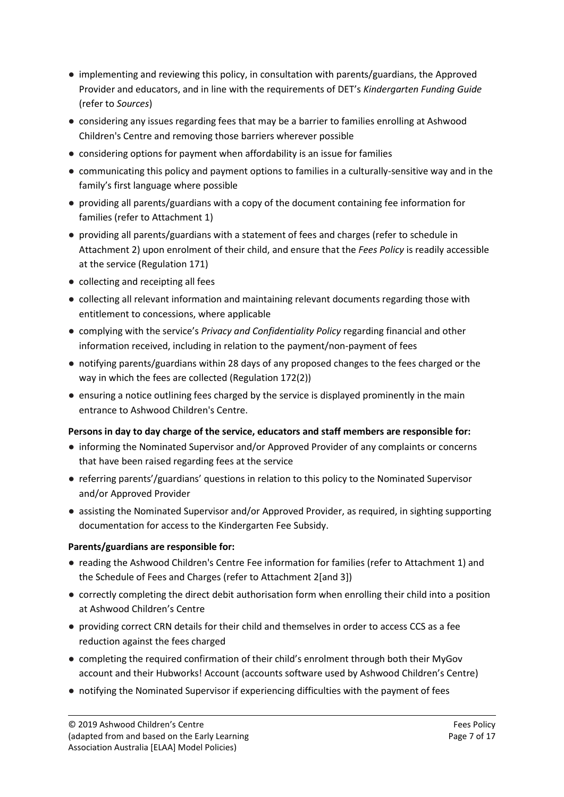- implementing and reviewing this policy, in consultation with parents/guardians, the Approved Provider and educators, and in line with the requirements of DET's *Kindergarten Funding Guide* (refer to *Sources*)
- considering any issues regarding fees that may be a barrier to families enrolling at Ashwood Children's Centre and removing those barriers wherever possible
- considering options for payment when affordability is an issue for families
- communicating this policy and payment options to families in a culturally-sensitive way and in the family's first language where possible
- providing all parents/guardians with a copy of the document containing fee information for families (refer to Attachment 1)
- providing all parents/guardians with a statement of fees and charges (refer to schedule in Attachment 2) upon enrolment of their child, and ensure that the *Fees Policy* is readily accessible at the service (Regulation 171)
- collecting and receipting all fees
- collecting all relevant information and maintaining relevant documents regarding those with entitlement to concessions, where applicable
- complying with the service's *Privacy and Confidentiality Policy* regarding financial and other information received, including in relation to the payment/non-payment of fees
- notifying parents/guardians within 28 days of any proposed changes to the fees charged or the way in which the fees are collected (Regulation 172(2))
- ensuring a notice outlining fees charged by the service is displayed prominently in the main entrance to Ashwood Children's Centre.

# **Persons in day to day charge of the service, educators and staff members are responsible for:**

- informing the Nominated Supervisor and/or Approved Provider of any complaints or concerns that have been raised regarding fees at the service
- referring parents'/guardians' questions in relation to this policy to the Nominated Supervisor and/or Approved Provider
- assisting the Nominated Supervisor and/or Approved Provider, as required, in sighting supporting documentation for access to the Kindergarten Fee Subsidy.

# **Parents/guardians are responsible for:**

- reading the Ashwood Children's Centre Fee information for families (refer to Attachment 1) and the Schedule of Fees and Charges (refer to Attachment 2[and 3])
- correctly completing the direct debit authorisation form when enrolling their child into a position at Ashwood Children's Centre
- providing correct CRN details for their child and themselves in order to access CCS as a fee reduction against the fees charged
- completing the required confirmation of their child's enrolment through both their MyGov account and their Hubworks! Account (accounts software used by Ashwood Children's Centre)
- notifying the Nominated Supervisor if experiencing difficulties with the payment of fees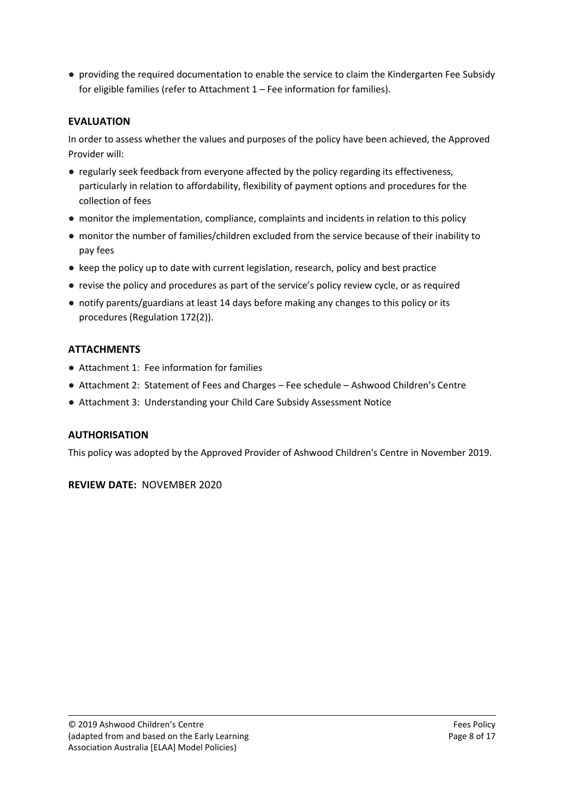● providing the required documentation to enable the service to claim the Kindergarten Fee Subsidy for eligible families (refer to Attachment 1 – Fee information for families).

# **EVALUATION**

In order to assess whether the values and purposes of the policy have been achieved, the Approved Provider will:

- regularly seek feedback from everyone affected by the policy regarding its effectiveness, particularly in relation to affordability, flexibility of payment options and procedures for the collection of fees
- monitor the implementation, compliance, complaints and incidents in relation to this policy
- monitor the number of families/children excluded from the service because of their inability to pay fees
- keep the policy up to date with current legislation, research, policy and best practice
- revise the policy and procedures as part of the service's policy review cycle, or as required
- notify parents/guardians at least 14 days before making any changes to this policy or its procedures (Regulation 172(2)).

# **ATTACHMENTS**

- Attachment 1: Fee information for families
- Attachment 2: Statement of Fees and Charges Fee schedule Ashwood Children's Centre
- Attachment 3: Understanding your Child Care Subsidy Assessment Notice

# **AUTHORISATION**

This policy was adopted by the Approved Provider of Ashwood Children's Centre in November 2019.

**REVIEW DATE:** NOVEMBER 2020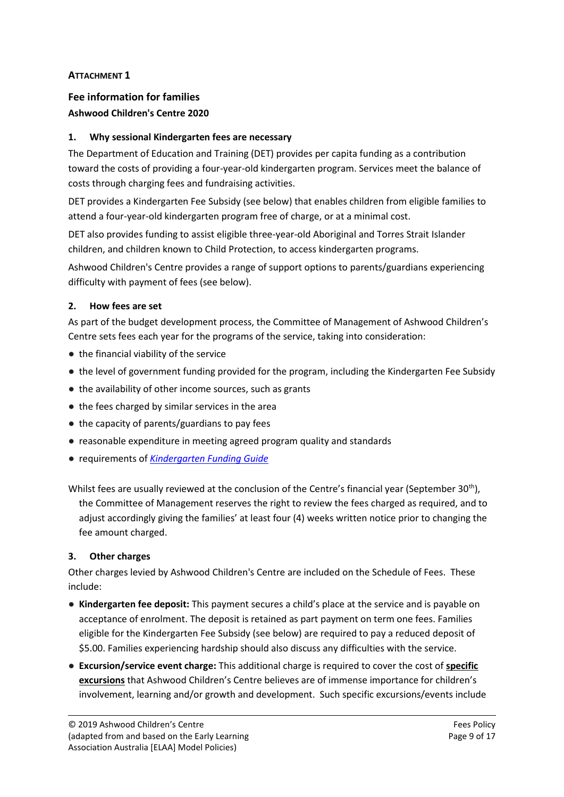# **ATTACHMENT 1**

# **Fee information for families Ashwood Children's Centre 2020**

# **1. Why sessional Kindergarten fees are necessary**

The Department of Education and Training (DET) provides per capita funding as a contribution toward the costs of providing a four-year-old kindergarten program. Services meet the balance of costs through charging fees and fundraising activities.

DET provides a Kindergarten Fee Subsidy (see below) that enables children from eligible families to attend a four-year-old kindergarten program free of charge, or at a minimal cost.

DET also provides funding to assist eligible three-year-old Aboriginal and Torres Strait Islander children, and children known to Child Protection, to access kindergarten programs.

Ashwood Children's Centre provides a range of support options to parents/guardians experiencing difficulty with payment of fees (see below).

# **2. How fees are set**

As part of the budget development process, the Committee of Management of Ashwood Children's Centre sets fees each year for the programs of the service, taking into consideration:

- the financial viability of the service
- the level of government funding provided for the program, including the Kindergarten Fee Subsidy
- the availability of other income sources, such as grants
- the fees charged by similar services in the area
- the capacity of parents/guardians to pay fees
- reasonable expenditure in meeting agreed program quality and standards
- requirements of *[Kindergarten Funding Guide](http://www.education.vic.gov.au/childhood/providers/funding/Pages/kinderfundingcriteria.aspx)*

Whilst fees are usually reviewed at the conclusion of the Centre's financial year (September 30<sup>th</sup>), the Committee of Management reserves the right to review the fees charged as required, and to adjust accordingly giving the families' at least four (4) weeks written notice prior to changing the fee amount charged.

# **3. Other charges**

Other charges levied by Ashwood Children's Centre are included on the Schedule of Fees. These include:

- **Kindergarten fee deposit:** This payment secures a child's place at the service and is payable on acceptance of enrolment. The deposit is retained as part payment on term one fees. Families eligible for the Kindergarten Fee Subsidy (see below) are required to pay a reduced deposit of \$5.00. Families experiencing hardship should also discuss any difficulties with the service.
- **Excursion/service event charge:** This additional charge is required to cover the cost of **specific excursions** that Ashwood Children's Centre believes are of immense importance for children's involvement, learning and/or growth and development. Such specific excursions/events include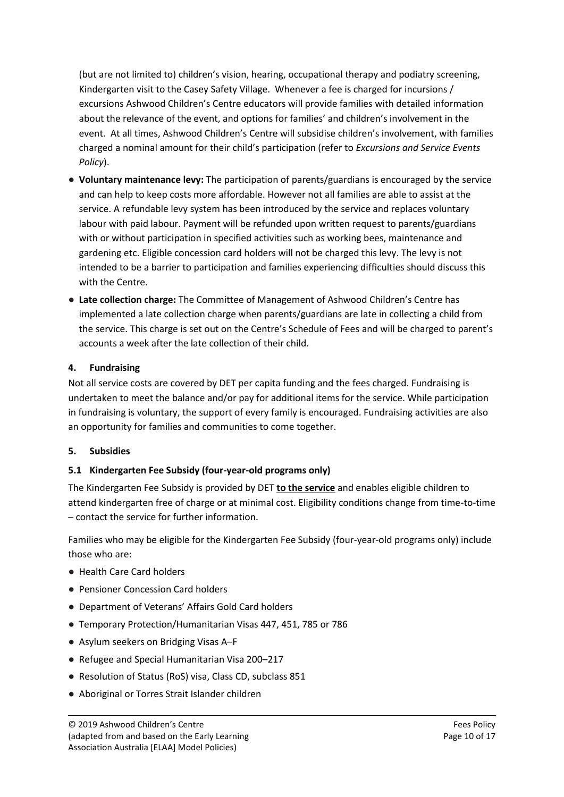(but are not limited to) children's vision, hearing, occupational therapy and podiatry screening, Kindergarten visit to the Casey Safety Village. Whenever a fee is charged for incursions / excursions Ashwood Children's Centre educators will provide families with detailed information about the relevance of the event, and options for families' and children's involvement in the event. At all times, Ashwood Children's Centre will subsidise children's involvement, with families charged a nominal amount for their child's participation (refer to *Excursions and Service Events Policy*).

- **Voluntary maintenance levy:** The participation of parents/guardians is encouraged by the service and can help to keep costs more affordable. However not all families are able to assist at the service. A refundable levy system has been introduced by the service and replaces voluntary labour with paid labour. Payment will be refunded upon written request to parents/guardians with or without participation in specified activities such as working bees, maintenance and gardening etc. Eligible concession card holders will not be charged this levy. The levy is not intended to be a barrier to participation and families experiencing difficulties should discuss this with the Centre.
- **Late collection charge:** The Committee of Management of Ashwood Children's Centre has implemented a late collection charge when parents/guardians are late in collecting a child from the service. This charge is set out on the Centre's Schedule of Fees and will be charged to parent's accounts a week after the late collection of their child.

### **4. Fundraising**

Not all service costs are covered by DET per capita funding and the fees charged. Fundraising is undertaken to meet the balance and/or pay for additional items for the service. While participation in fundraising is voluntary, the support of every family is encouraged. Fundraising activities are also an opportunity for families and communities to come together.

### **5. Subsidies**

# **5.1 Kindergarten Fee Subsidy (four-year-old programs only)**

The Kindergarten Fee Subsidy is provided by DET **to the service** and enables eligible children to attend kindergarten free of charge or at minimal cost. Eligibility conditions change from time-to-time – contact the service for further information.

Families who may be eligible for the Kindergarten Fee Subsidy (four-year-old programs only) include those who are:

- Health Care Card holders
- Pensioner Concession Card holders
- Department of Veterans' Affairs Gold Card holders
- Temporary Protection/Humanitarian Visas 447, 451, 785 or 786
- Asylum seekers on Bridging Visas A–F
- Refugee and Special Humanitarian Visa 200–217
- Resolution of Status (RoS) visa, Class CD, subclass 851
- Aboriginal or Torres Strait Islander children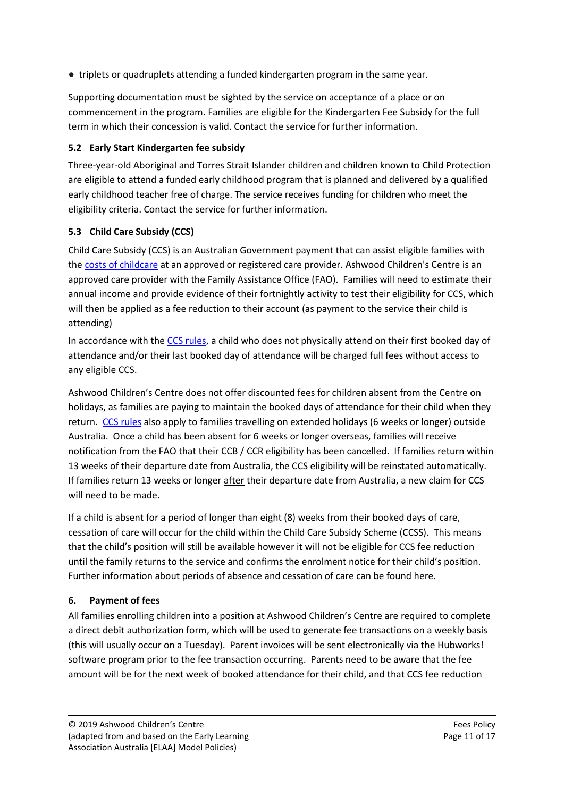● triplets or quadruplets attending a funded kindergarten program in the same year.

Supporting documentation must be sighted by the service on acceptance of a place or on commencement in the program. Families are eligible for the Kindergarten Fee Subsidy for the full term in which their concession is valid. Contact the service for further information.

# **5.2 Early Start Kindergarten fee subsidy**

Three-year-old Aboriginal and Torres Strait Islander children and children known to Child Protection are eligible to attend a funded early childhood program that is planned and delivered by a qualified early childhood teacher free of charge. The service receives funding for children who meet the eligibility criteria. Contact the service for further information.

# **5.3 Child Care Subsidy (CCS)**

Child Care Subsidy (CCS) is an Australian Government payment that can assist eligible families with th[e costs of childcare](https://www.humanservices.gov.au/individuals/enablers/payment-options-child-care-benefit) at an approved or registered care provider. Ashwood Children's Centre is an approved care provider with the Family Assistance Office (FAO). Families will need to estimate their annual income and provide evidence of their fortnightly activity to test their eligibility for CCS, which will then be applied as a fee reduction to their account (as payment to the service their child is attending)

In accordance with th[e CCS rules,](https://www.humanservices.gov.au/individuals/enablers/absences-and-child-care-benefit) a child who does not physically attend on their first booked day of attendance and/or their last booked day of attendance will be charged full fees without access to any eligible CCS.

Ashwood Children's Centre does not offer discounted fees for children absent from the Centre on holidays, as families are paying to maintain the booked days of attendance for their child when they return. [CCS rules](https://www.humanservices.gov.au/individuals/services/centrelink/child-care-subsidy/managing/while-travelling-outside-australia) also apply to families travelling on extended holidays (6 weeks or longer) outside Australia. Once a child has been absent for 6 weeks or longer overseas, families will receive notification from the FAO that their CCB / CCR eligibility has been cancelled. If families return within 13 weeks of their departure date from Australia, the CCS eligibility will be reinstated automatically. If families return 13 weeks or longer after their departure date from Australia, a new claim for CCS will need to be made.

If a child is absent for a period of longer than eight (8) weeks from their booked days of care, cessation of care will occur for the child within the Child Care Subsidy Scheme (CCSS). This means that the child's position will still be available however it will not be eligible for CCS fee reduction until the family returns to the service and confirms the enrolment notice for their child's position. Further information about periods of absence and cessation of care can be found here.

# **6. Payment of fees**

All families enrolling children into a position at Ashwood Children's Centre are required to complete a direct debit authorization form, which will be used to generate fee transactions on a weekly basis (this will usually occur on a Tuesday). Parent invoices will be sent electronically via the Hubworks! software program prior to the fee transaction occurring. Parents need to be aware that the fee amount will be for the next week of booked attendance for their child, and that CCS fee reduction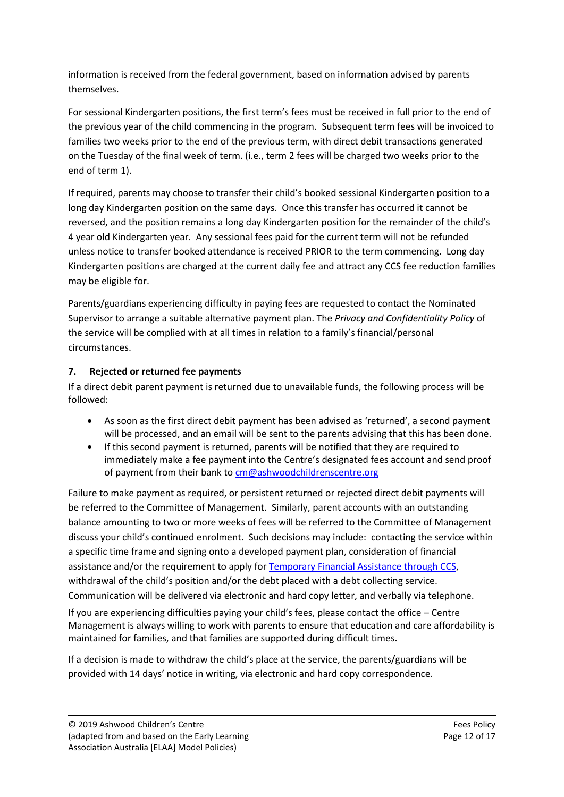information is received from the federal government, based on information advised by parents themselves.

For sessional Kindergarten positions, the first term's fees must be received in full prior to the end of the previous year of the child commencing in the program. Subsequent term fees will be invoiced to families two weeks prior to the end of the previous term, with direct debit transactions generated on the Tuesday of the final week of term. (i.e., term 2 fees will be charged two weeks prior to the end of term 1).

If required, parents may choose to transfer their child's booked sessional Kindergarten position to a long day Kindergarten position on the same days. Once this transfer has occurred it cannot be reversed, and the position remains a long day Kindergarten position for the remainder of the child's 4 year old Kindergarten year. Any sessional fees paid for the current term will not be refunded unless notice to transfer booked attendance is received PRIOR to the term commencing. Long day Kindergarten positions are charged at the current daily fee and attract any CCS fee reduction families may be eligible for.

Parents/guardians experiencing difficulty in paying fees are requested to contact the Nominated Supervisor to arrange a suitable alternative payment plan. The *Privacy and Confidentiality Policy* of the service will be complied with at all times in relation to a family's financial/personal circumstances.

# **7. Rejected or returned fee payments**

If a direct debit parent payment is returned due to unavailable funds, the following process will be followed:

- As soon as the first direct debit payment has been advised as 'returned', a second payment will be processed, and an email will be sent to the parents advising that this has been done.
- If this second payment is returned, parents will be notified that they are required to immediately make a fee payment into the Centre's designated fees account and send proof of payment from their bank to [cm@ashwoodchildrenscentre.org](mailto:cm@ashwoodchildrenscentre.org)

Failure to make payment as required, or persistent returned or rejected direct debit payments will be referred to the Committee of Management. Similarly, parent accounts with an outstanding balance amounting to two or more weeks of fees will be referred to the Committee of Management discuss your child's continued enrolment. Such decisions may include: contacting the service within a specific time frame and signing onto a developed payment plan, consideration of financial assistance and/or the requirement to apply for [Temporary Financial Assistance through](https://www.servicesaustralia.gov.au/individuals/services/centrelink/additional-child-care-subsidy/who-can-get-it/temporary-financial-hardship-subsidy) CCS, withdrawal of the child's position and/or the debt placed with a debt collecting service. Communication will be delivered via electronic and hard copy letter, and verbally via telephone.

If you are experiencing difficulties paying your child's fees, please contact the office – Centre Management is always willing to work with parents to ensure that education and care affordability is maintained for families, and that families are supported during difficult times.

If a decision is made to withdraw the child's place at the service, the parents/guardians will be provided with 14 days' notice in writing, via electronic and hard copy correspondence.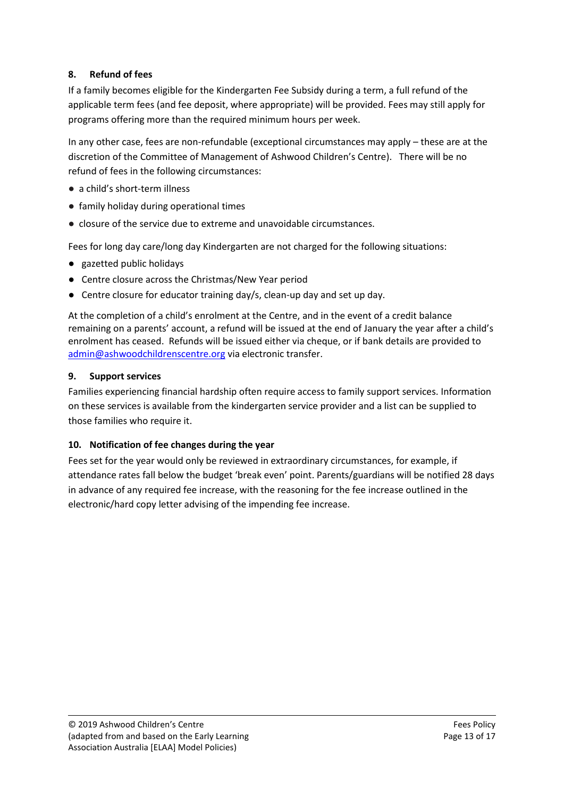# **8. Refund of fees**

If a family becomes eligible for the Kindergarten Fee Subsidy during a term, a full refund of the applicable term fees (and fee deposit, where appropriate) will be provided. Fees may still apply for programs offering more than the required minimum hours per week.

In any other case, fees are non-refundable (exceptional circumstances may apply – these are at the discretion of the Committee of Management of Ashwood Children's Centre). There will be no refund of fees in the following circumstances:

- a child's short-term illness
- family holiday during operational times
- closure of the service due to extreme and unavoidable circumstances.

Fees for long day care/long day Kindergarten are not charged for the following situations:

- gazetted public holidays
- Centre closure across the Christmas/New Year period
- Centre closure for educator training day/s, clean-up day and set up day.

At the completion of a child's enrolment at the Centre, and in the event of a credit balance remaining on a parents' account, a refund will be issued at the end of January the year after a child's enrolment has ceased. Refunds will be issued either via cheque, or if bank details are provided to [admin@ashwoodchildrenscentre.org](mailto:admin@ashwoodchildrenscentre.org) via electronic transfer.

# **9. Support services**

Families experiencing financial hardship often require access to family support services. Information on these services is available from the kindergarten service provider and a list can be supplied to those families who require it.

# **10. Notification of fee changes during the year**

Fees set for the year would only be reviewed in extraordinary circumstances, for example, if attendance rates fall below the budget 'break even' point. Parents/guardians will be notified 28 days in advance of any required fee increase, with the reasoning for the fee increase outlined in the electronic/hard copy letter advising of the impending fee increase.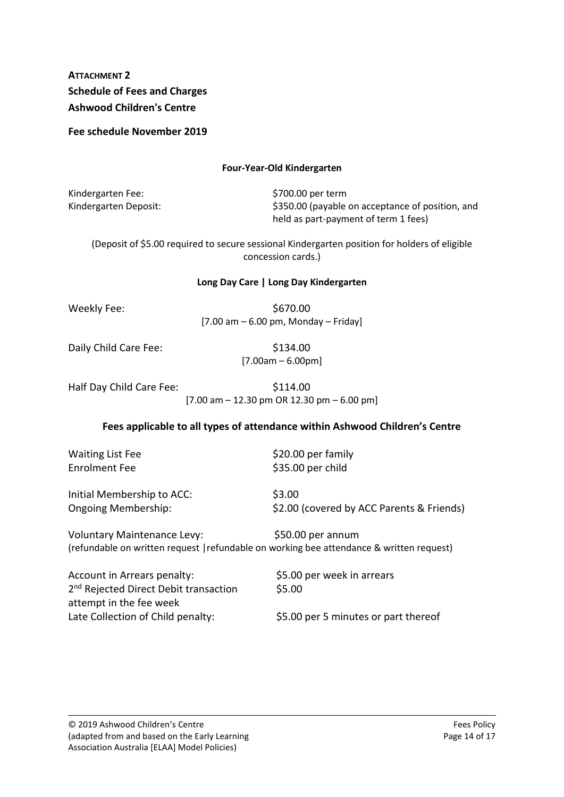# **ATTACHMENT 2 Schedule of Fees and Charges Ashwood Children's Centre**

**Fee schedule November 2019** 

#### **Four-Year-Old Kindergarten**

Kindergarten Fee:  $$700.00$  per term

Kindergarten Deposit:  $\frac{1}{2}$  \$350.00 (payable on acceptance of position, and held as part-payment of term 1 fees)

(Deposit of \$5.00 required to secure sessional Kindergarten position for holders of eligible concession cards.)

#### **Long Day Care | Long Day Kindergarten**

Weekly Fee:  $$670.00$  $[7.00 \text{ am} - 6.00 \text{ pm}$ , Monday – Friday]

Daily Child Care Fee:  $$134.00$ 

 $[7.00am - 6.00pm]$ 

| Half Day Child Care Fee: | \$114.00                                                                              |  |
|--------------------------|---------------------------------------------------------------------------------------|--|
|                          | $[7.00 \text{ am} - 12.30 \text{ pm} \text{ OR } 12.30 \text{ pm} - 6.00 \text{ pm}]$ |  |

# **Fees applicable to all types of attendance within Ashwood Children's Centre**

Waiting List Fee  $\frac{520.00 \text{ per family}}{}$ 

Enrolment Fee \$35.00 per child

Initial Membership to ACC: \$3.00

Ongoing Membership: \$2.00 (covered by ACC Parents & Friends)

Voluntary Maintenance Levy: \$50.00 per annum (refundable on written request |refundable on working bee attendance & written request)

Account in Arrears penalty:  $$5.00$  per week in arrears 2<sup>nd</sup> Rejected Direct Debit transaction \$5.00 attempt in the fee week Late Collection of Child penalty: \$5.00 per 5 minutes or part thereof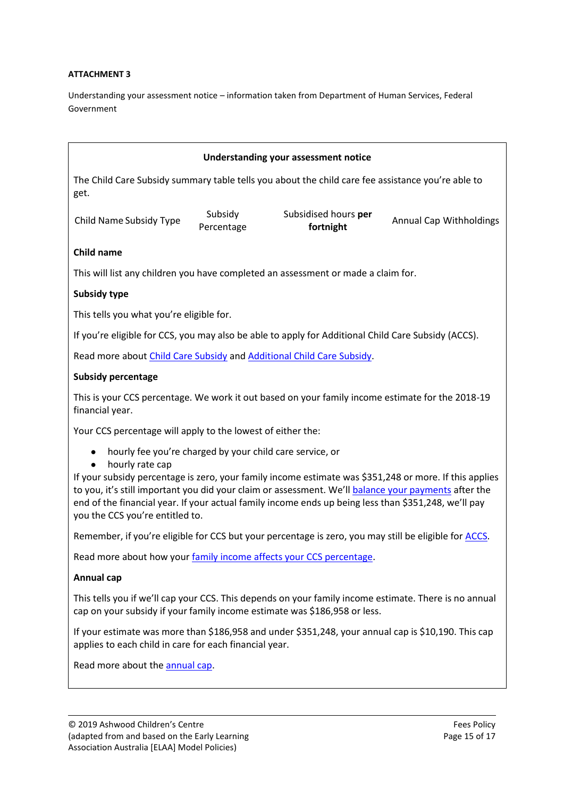#### **ATTACHMENT 3**

Understanding your assessment notice – information taken from Department of Human Services, Federal Government

| <b>Understanding your assessment notice</b>                                                                                                                                                                                                                                                                                                                                                                                              |                       |                                   |                                |  |
|------------------------------------------------------------------------------------------------------------------------------------------------------------------------------------------------------------------------------------------------------------------------------------------------------------------------------------------------------------------------------------------------------------------------------------------|-----------------------|-----------------------------------|--------------------------------|--|
| The Child Care Subsidy summary table tells you about the child care fee assistance you're able to<br>get.                                                                                                                                                                                                                                                                                                                                |                       |                                   |                                |  |
| Child Name Subsidy Type                                                                                                                                                                                                                                                                                                                                                                                                                  | Subsidy<br>Percentage | Subsidised hours per<br>fortnight | <b>Annual Cap Withholdings</b> |  |
| Child name                                                                                                                                                                                                                                                                                                                                                                                                                               |                       |                                   |                                |  |
| This will list any children you have completed an assessment or made a claim for.                                                                                                                                                                                                                                                                                                                                                        |                       |                                   |                                |  |
| <b>Subsidy type</b>                                                                                                                                                                                                                                                                                                                                                                                                                      |                       |                                   |                                |  |
| This tells you what you're eligible for.                                                                                                                                                                                                                                                                                                                                                                                                 |                       |                                   |                                |  |
| If you're eligible for CCS, you may also be able to apply for Additional Child Care Subsidy (ACCS).                                                                                                                                                                                                                                                                                                                                      |                       |                                   |                                |  |
| Read more about Child Care Subsidy and Additional Child Care Subsidy.                                                                                                                                                                                                                                                                                                                                                                    |                       |                                   |                                |  |
| <b>Subsidy percentage</b>                                                                                                                                                                                                                                                                                                                                                                                                                |                       |                                   |                                |  |
| This is your CCS percentage. We work it out based on your family income estimate for the 2018-19<br>financial year.                                                                                                                                                                                                                                                                                                                      |                       |                                   |                                |  |
| Your CCS percentage will apply to the lowest of either the:                                                                                                                                                                                                                                                                                                                                                                              |                       |                                   |                                |  |
| hourly fee you're charged by your child care service, or<br>hourly rate cap<br>If your subsidy percentage is zero, your family income estimate was \$351,248 or more. If this applies<br>to you, it's still important you did your claim or assessment. We'll balance your payments after the<br>end of the financial year. If your actual family income ends up being less than \$351,248, we'll pay<br>you the CCS you're entitled to. |                       |                                   |                                |  |
| Remember, if you're eligible for CCS but your percentage is zero, you may still be eligible for ACCS.                                                                                                                                                                                                                                                                                                                                    |                       |                                   |                                |  |

Read more about how you[r family income affects your CCS percentage.](https://www.humanservices.gov.au/individuals/enablers/how-your-income-affects-child-care-subsidy/42191#familyincomeccs)

### **Annual cap**

This tells you if we'll cap your CCS. This depends on your family income estimate. There is no annual cap on your subsidy if your family income estimate was \$186,958 or less.

If your estimate was more than \$186,958 and under \$351,248, your annual cap is \$10,190. This cap applies to each child in care for each financial year.

Read more about the **annual cap**.